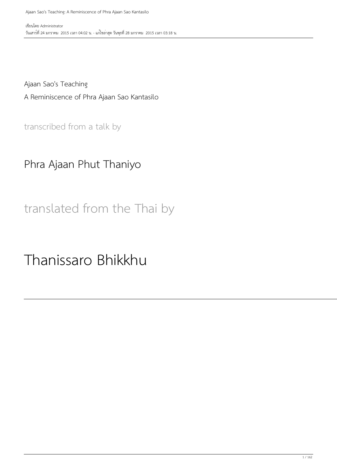Ajaan Sao's Teaching A Reminiscence of Phra Ajaan Sao Kantasilo

transcribed from a talk by

#### Phra Ajaan Phut Thaniyo

translated from the Thai by

Thanissaro Bhikkhu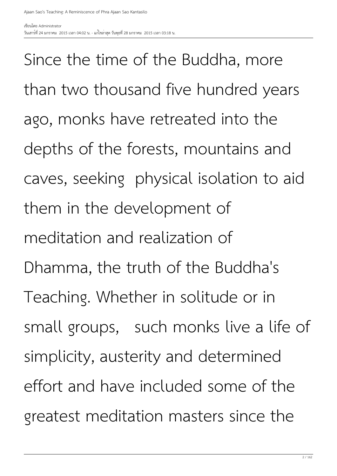Since the time of the Buddha, more than two thousand five hundred years ago, monks have retreated into the depths of the forests, mountains and caves, seeking physical isolation to aid them in the development of meditation and realization of Dhamma, the truth of the Buddha's Teaching. Whether in solitude or in small groups, such monks live a life of simplicity, austerity and determined effort and have included some of the greatest meditation masters since the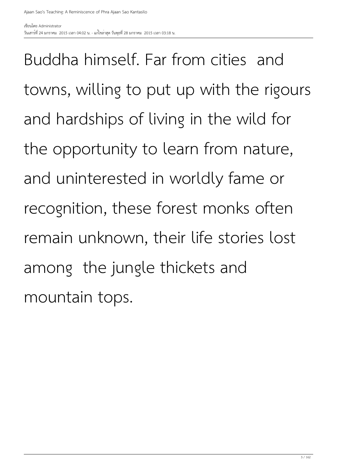Buddha himself. Far from cities and towns, willing to put up with the rigours and hardships of living in the wild for the opportunity to learn from nature, and uninterested in worldly fame or recognition, these forest monks often remain unknown, their life stories lost among the jungle thickets and mountain tops.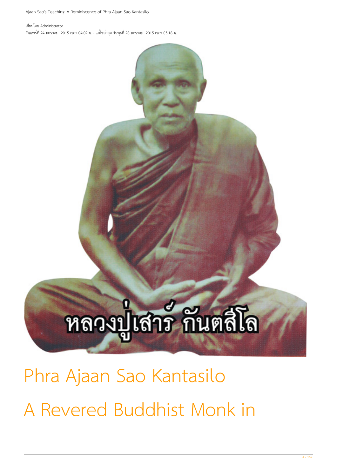### หลวงปู่เสาร์ กันตสีโล

Phra Ajaan Sao Kantasilo A Revered Buddhist Monk in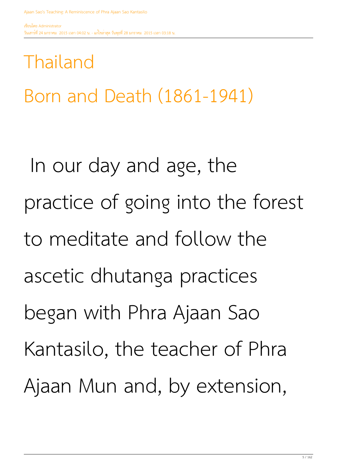#### Thailand

Born and Death (1861-1941)

 In our day and age, the practice of going into the forest to meditate and follow the ascetic dhutanga practices began with Phra Ajaan Sao Kantasilo, the teacher of Phra Ajaan Mun and, by extension,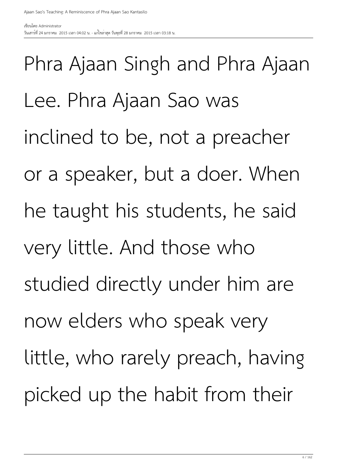Phra Ajaan Singh and Phra Ajaan Lee. Phra Ajaan Sao was inclined to be, not a preacher or a speaker, but a doer. When he taught his students, he said very little. And those who studied directly under him are now elders who speak very little, who rarely preach, having picked up the habit from their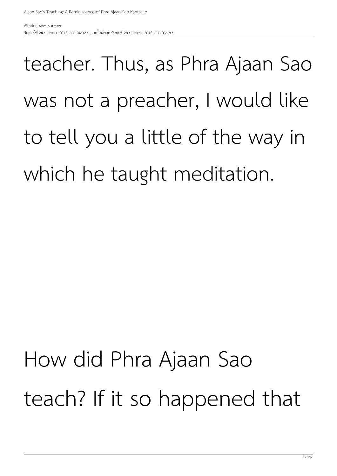#### teacher. Thus, as Phra Ajaan Sao was not a preacher, I would like to tell you a little of the way in which he taught meditation.

#### How did Phra Ajaan Sao teach? If it so happened that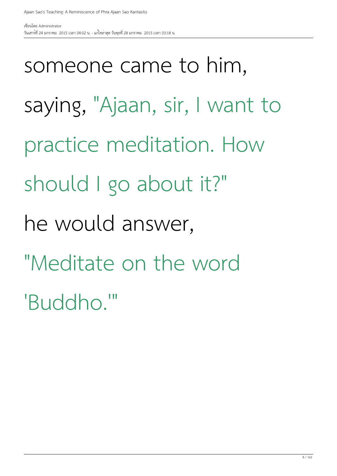someone came to him, saying, "Ajaan, sir, I want to practice meditation. How should I go about it?" he would answer, "Meditate on the word 'Buddho.'"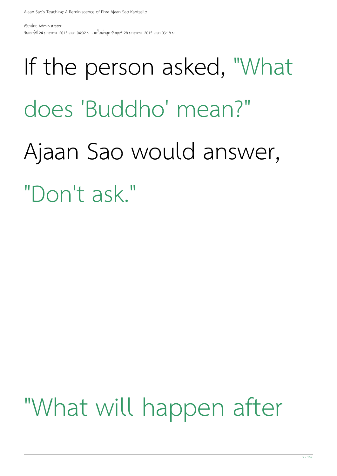#### If the person asked, "What does 'Buddho' mean?" Ajaan Sao would answer, "Don't ask."

#### "What will happen after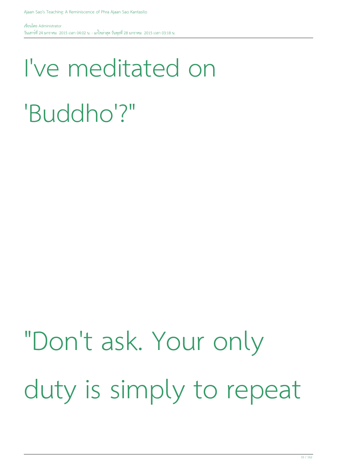#### I've meditated on 'Buddho'?"

#### "Don't ask. Your only duty is simply to repeat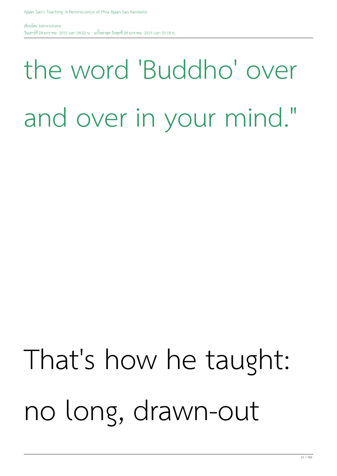#### the word 'Buddho' over and over in your mind."

#### That's how he taught: no long, drawn-out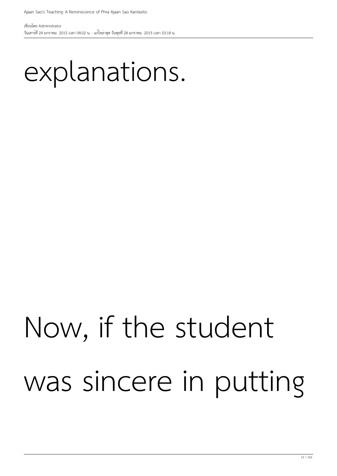#### explanations.

#### Now, if the student was sincere in putting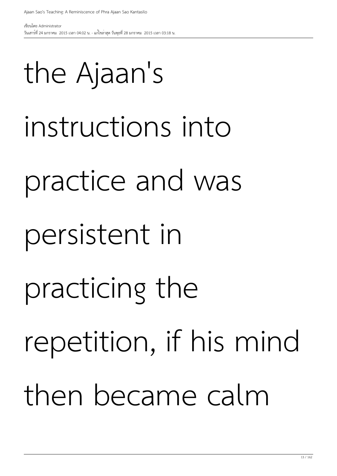# practice and was persistent in practicing the repetition, if his mind then became calm

#### the Ajaan's

instructions into

Ajaan Sao's Teaching: A Reminiscence of Phra Ajaan Sao Kantasilo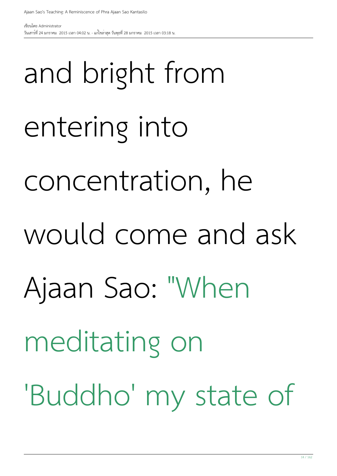and bright from entering into concentration, he would come and ask Ajaan Sao: "When meditating on 'Buddho' my state of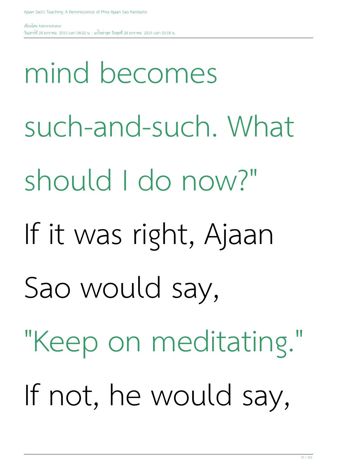mind becomes such-and-such. What should I do now?" If it was right, Ajaan Sao would say, "Keep on meditating." If not, he would say,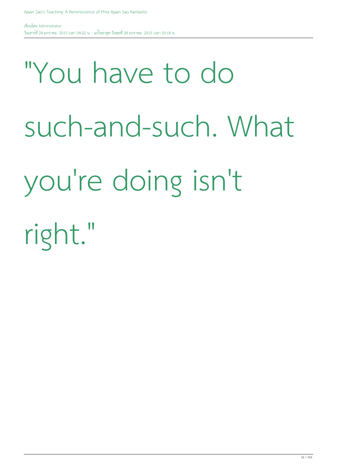### "You have to do such-and-such. What you're doing isn't right."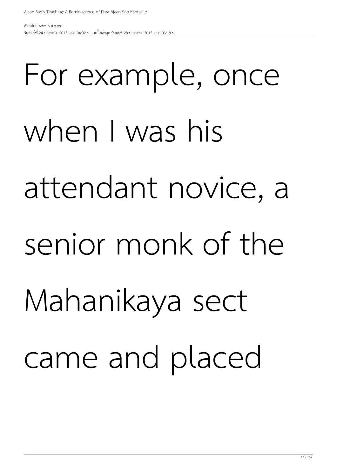# For example, once when I was his attendant novice, a senior monk of the Mahanikaya sect came and placed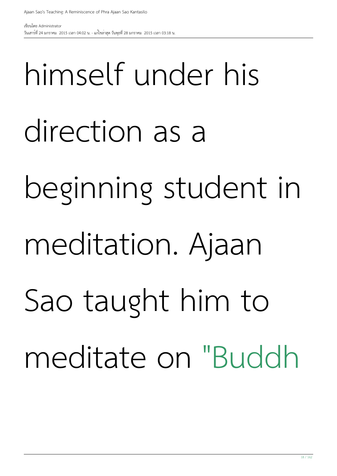# himself under his direction as a beginning student in meditation. Ajaan Sao taught him to meditate on "Buddh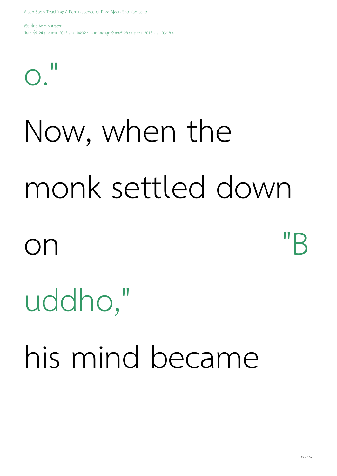#### $\bigcap$

#### Now, when the monk settled down

### on "B

#### uddho,"

his mind became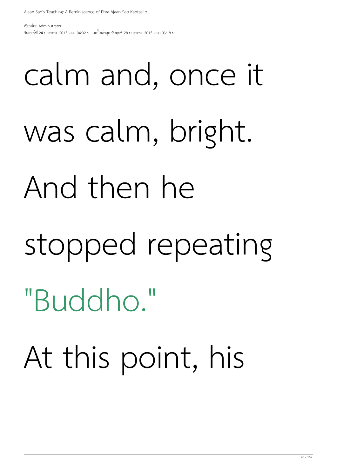### calm and, once it was calm, bright. And then he stopped repeating "Buddho." At this point, his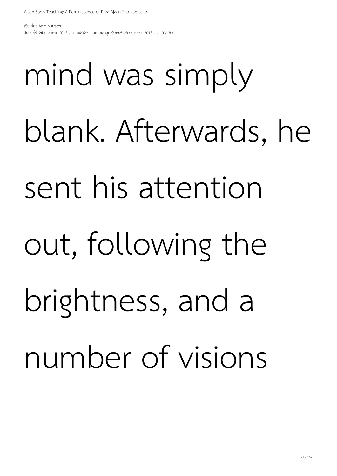# mind was simply blank. Afterwards, he sent his attention out, following the brightness, and a number of visions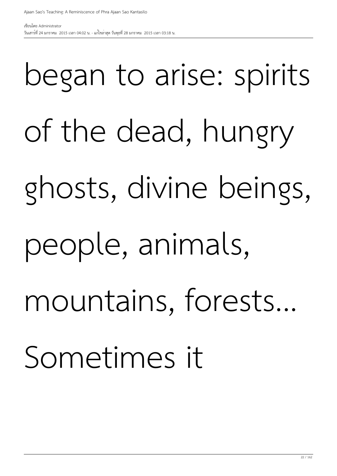# began to arise: spirits of the dead, hungry ghosts, divine beings, people, animals, mountains, forests... Sometimes it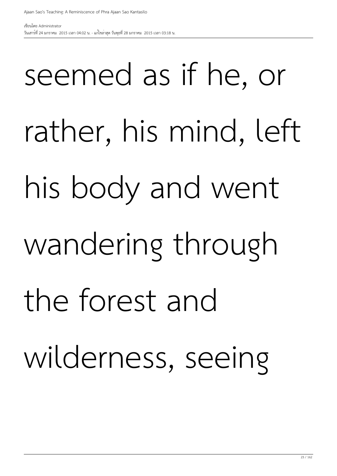# seemed as if he, or rather, his mind, left his body and went wandering through the forest and wilderness, seeing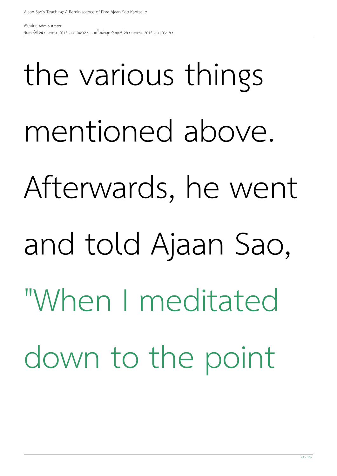# the various things mentioned above. Afterwards, he went and told Ajaan Sao, "When I meditated down to the point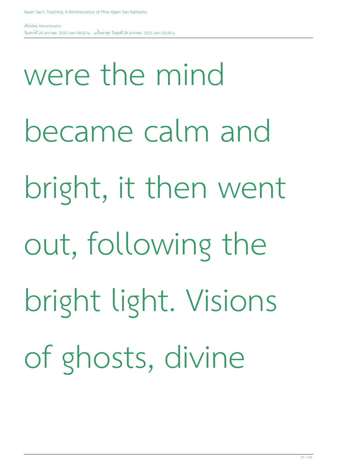were the mind became calm and bright, it then went out, following the bright light. Visions of ghosts, divine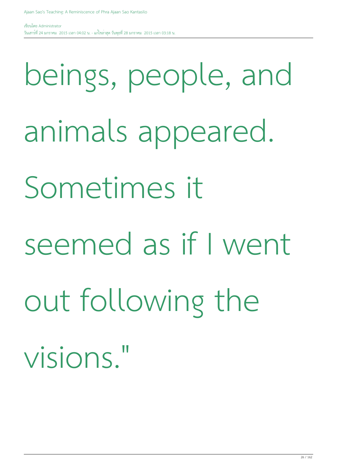beings, people, and animals appeared. Sometimes it seemed as if I went out following the visions."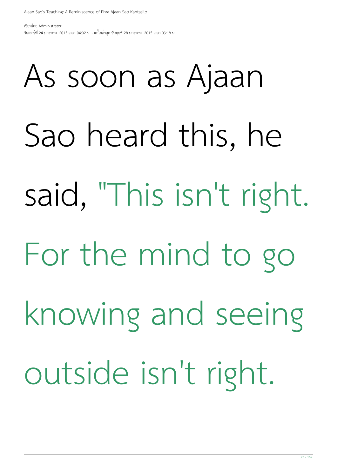# As soon as Ajaan Sao heard this, he said, "This isn't right. For the mind to go knowing and seeing outside isn't right.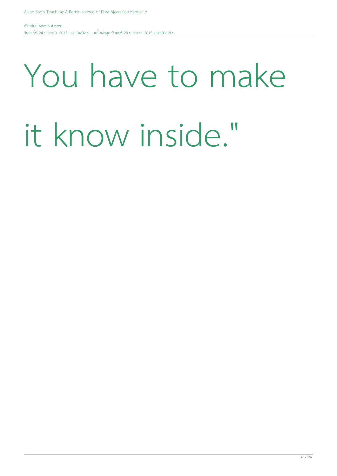### You have to make it know inside."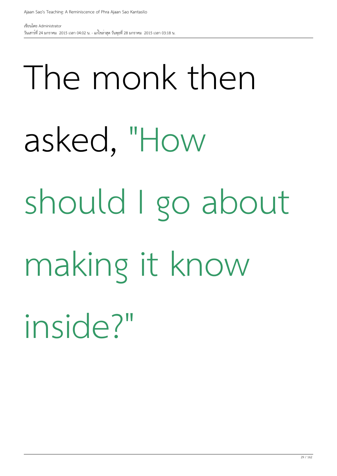# The monk then asked, "How should I go about making it know inside?"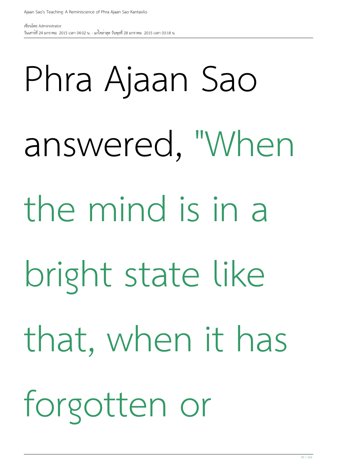# Phra Ajaan Sao answered, "When the mind is in a bright state like that, when it has forgotten or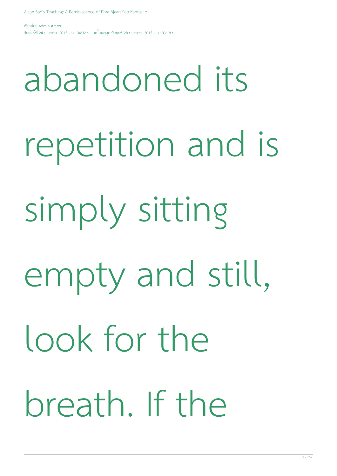abandoned its repetition and is simply sitting empty and still, look for the breath. If the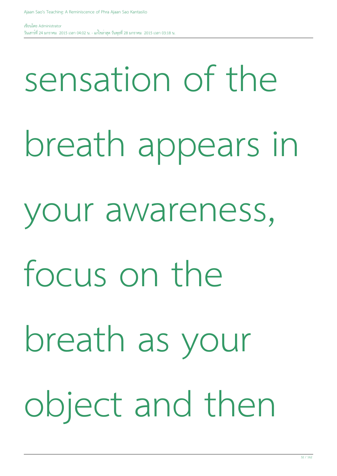#### sensation of the

- breath appears in
- your awareness,
- focus on the
- breath as your object and then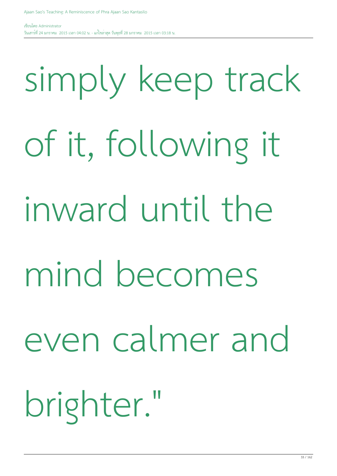# simply keep track of it, following it inward until the mind becomes even calmer and brighter."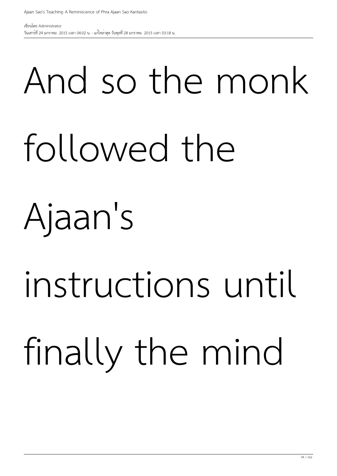# And so the monk

#### followed the

#### Ajaan's

# instructions until

### finally the mind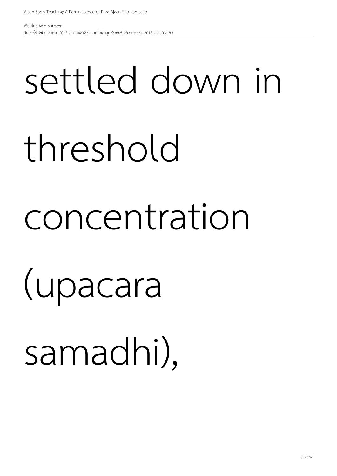# settled down in threshold concentration (upacara

samadhi),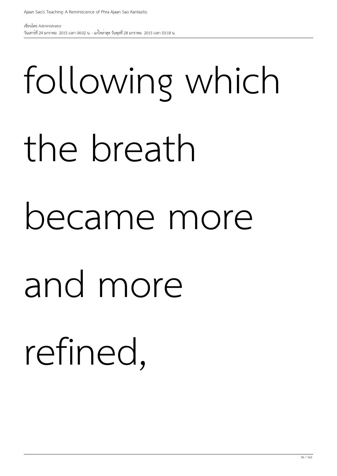# following which the breath became more and more refined,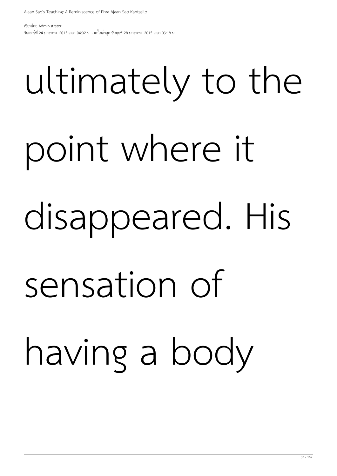### ultimately to the

### point where it

### disappeared. His

## sensation of having a body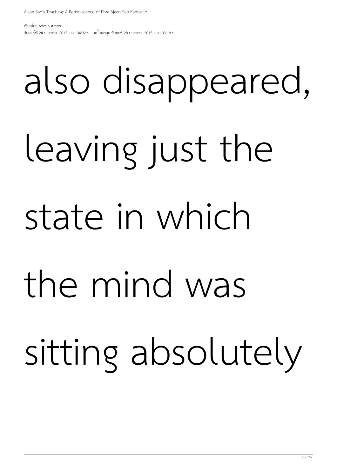## also disappeared, leaving just the state in which the mind was sitting absolutely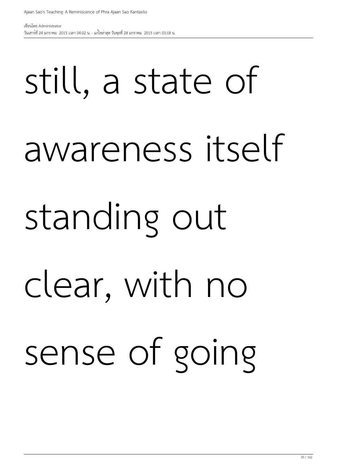## still, a state of awareness itself standing out clear, with no sense of going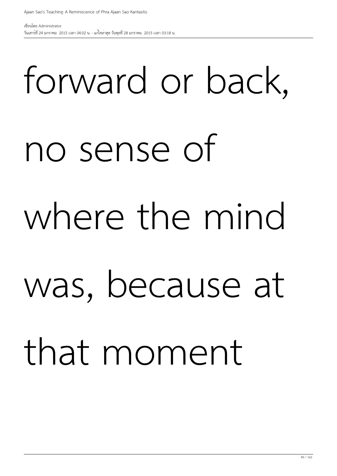## forward or back, no sense of where the mind was, because at that moment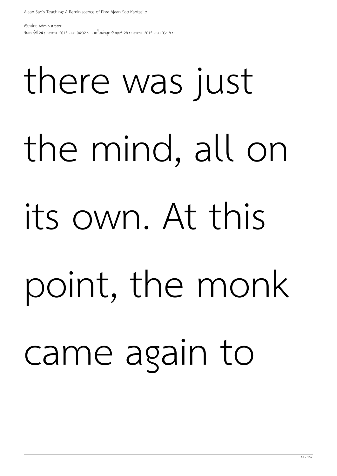## there was just the mind, all on its own. At this point, the monk came again to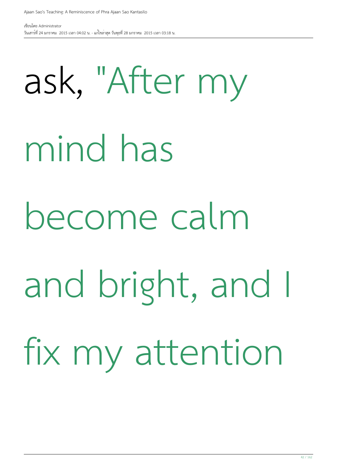ask, "After my mind has become calm and bright, and I fix my attention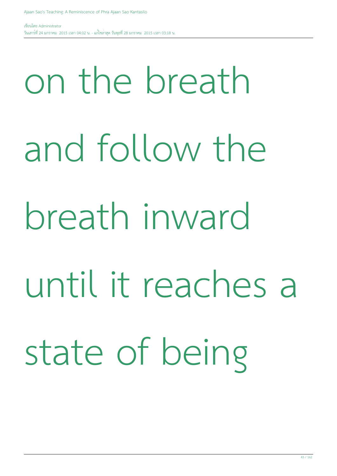## on the breath and follow the breath inward until it reaches a state of being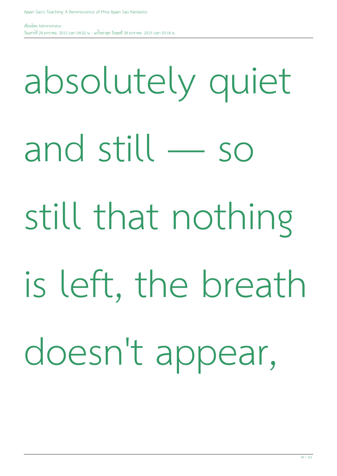absolutely quiet

and still — so

still that nothing

is left, the breath

doesn't appear,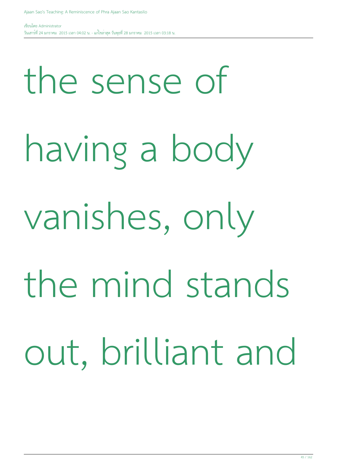the sense of having a body vanishes, only the mind stands out, brilliant and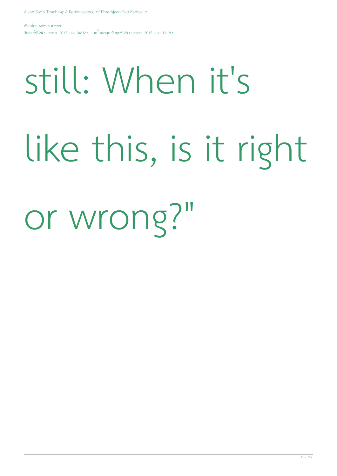## still: When it's like this, is it right

or wrong?"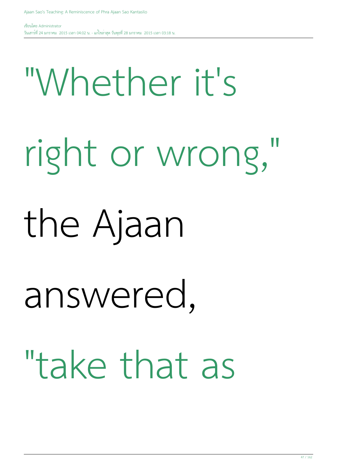## "Whether it's right or wrong," the Ajaan answered, "take that as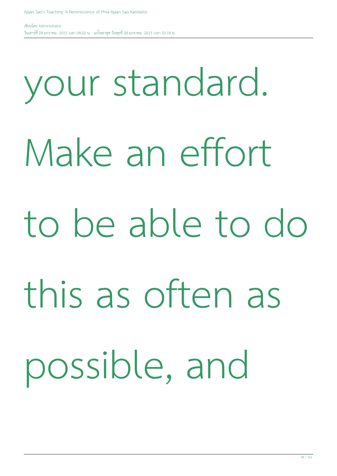## your standard. Make an effort to be able to do this as often as possible, and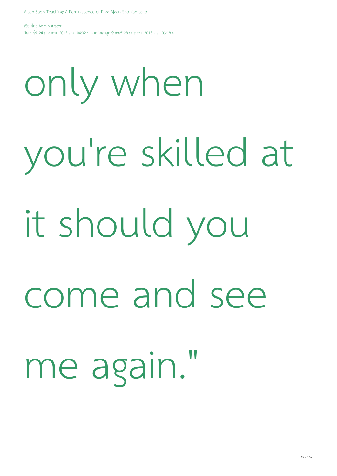only when you're skilled at it should you come and see me again."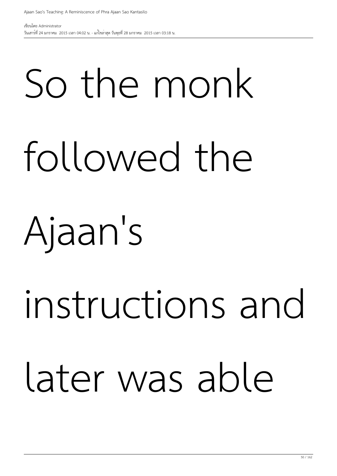# So the monk followed the

### Ajaan's

## instructions and later was able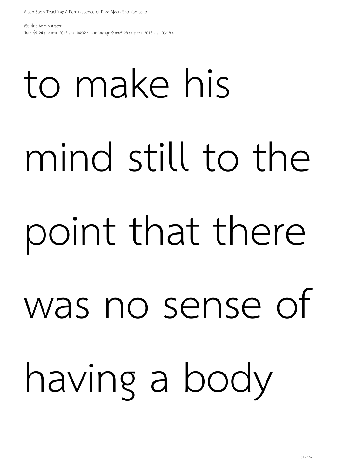# to make his mind still to the point that there was no sense of having a body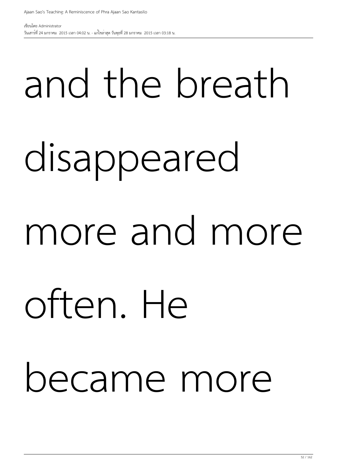# and the breath disappeared more and more often. He became more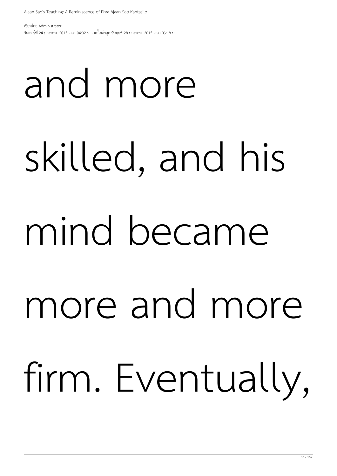# and more skilled, and his mind became more and more firm. Eventually,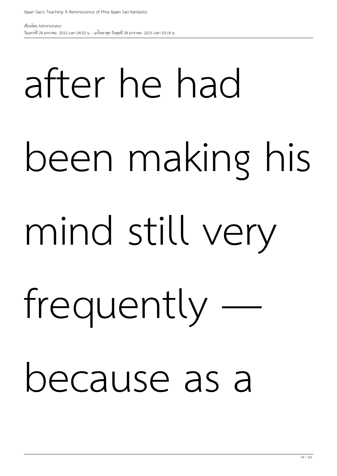# after he had been making his mind still very frequently because as a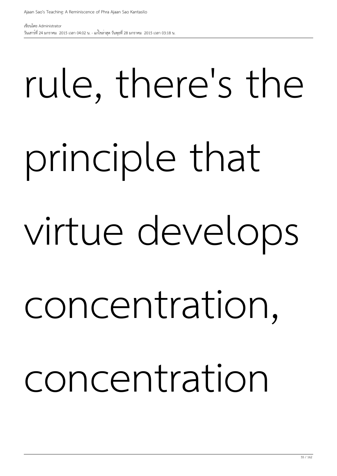## rule, there's the principle that virtue develops concentration, concentration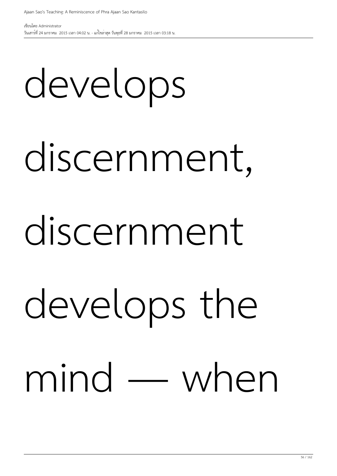## develops

### discernment,

#### discernment

## develops the mind — when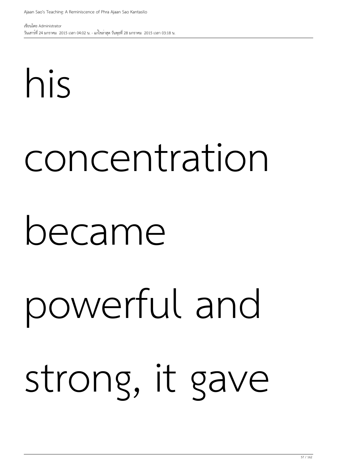# his concentration became powerful and strong, it gave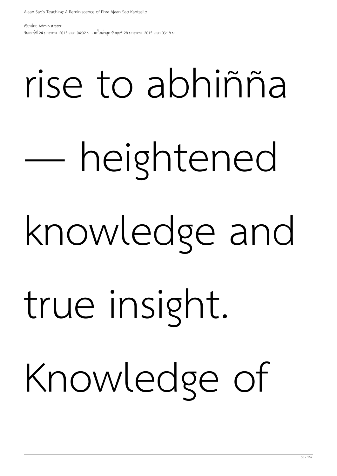# rise to abhiñña — heightened knowledge and true insight. Knowledge of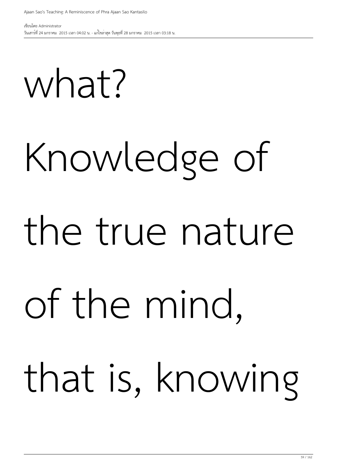what?

## Knowledge of the true nature of the mind, that is, knowing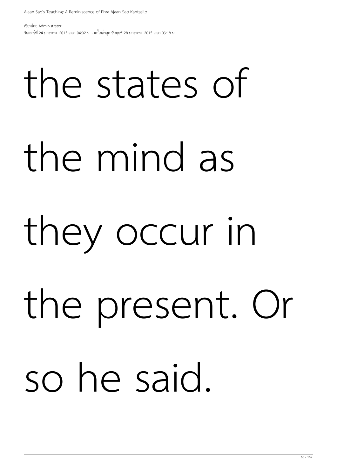# the states of the mind as they occur in the present. Or so he said.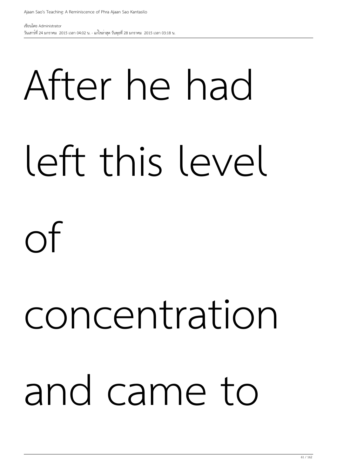## After he had left this level of

## concentration and came to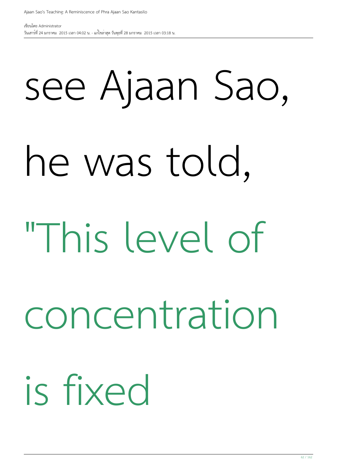## see Ajaan Sao,

### he was told,

### "This level of

#### concentration

### is fixed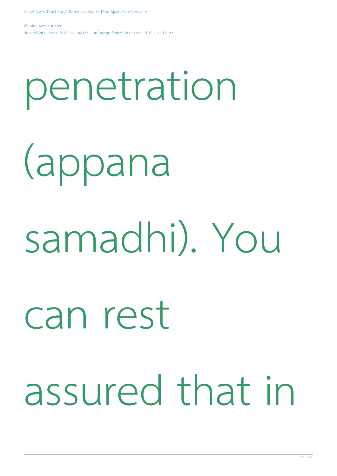# penetration (appana samadhi). You can rest assured that in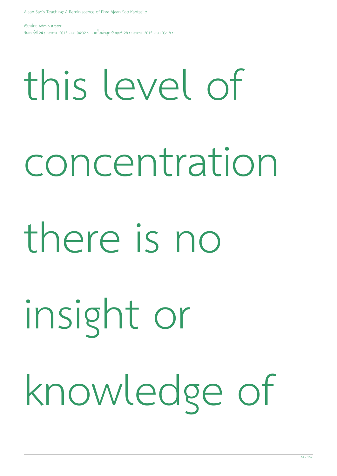### this level of

concentration

#### there is no

insight or

knowledge of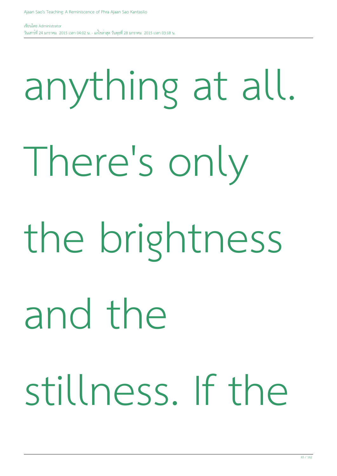# anything at all. There's only the brightness and the stillness. If the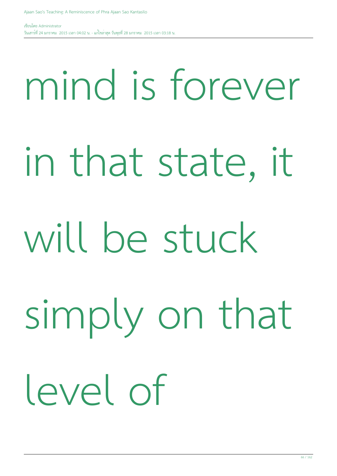## mind is forever

in that state, it

### will be stuck

simply on that

level of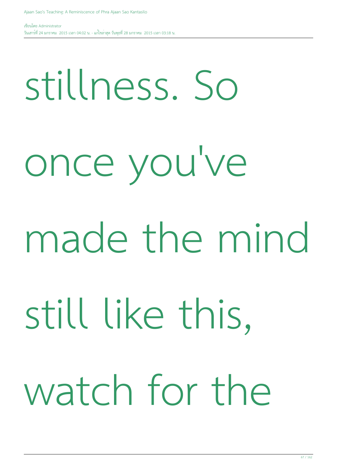#### stillness. So

once you've

### made the mind

still like this,

## watch for the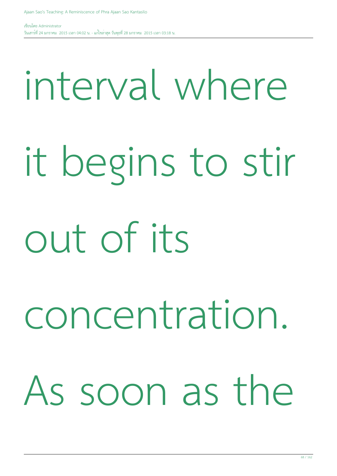#### interval where

## it begins to stir out of its

## concentration. As soon as the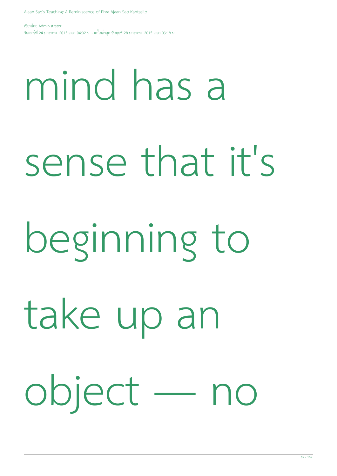# mind has a sense that it's beginning to take up an object — no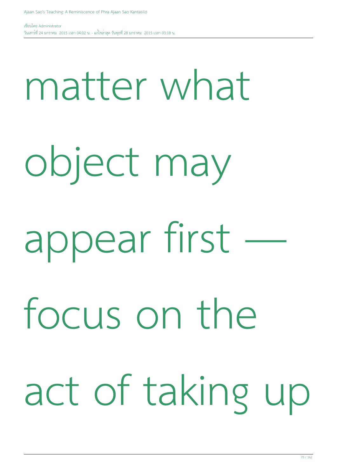#### matter what

object may

appear first —

focus on the

act of taking up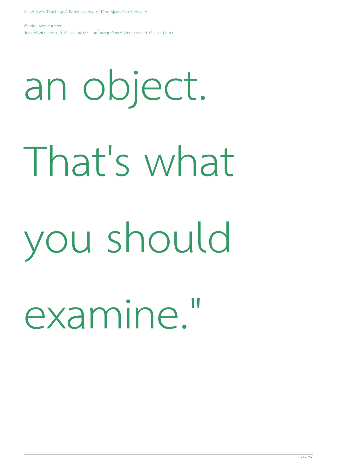### an object.

### That's what

### you should

### examine."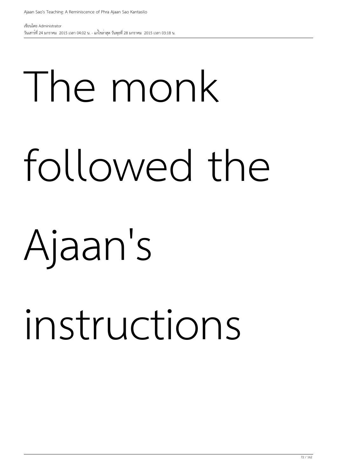# The monk followed the

### Ajaan's

## instructions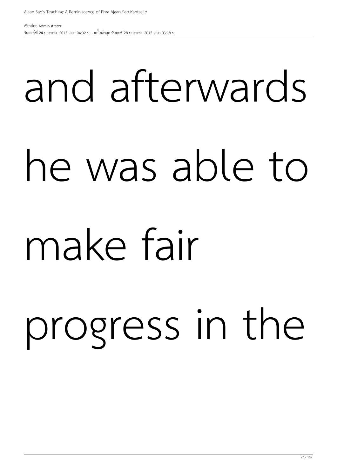# and afterwards he was able to make fair

progress in the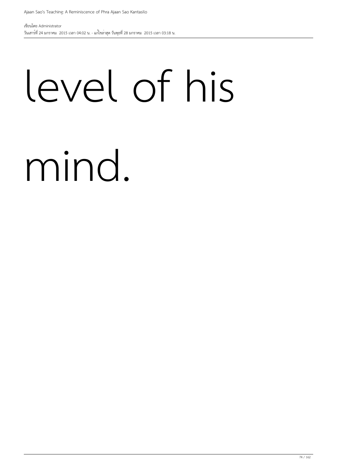### level of his

#### mind.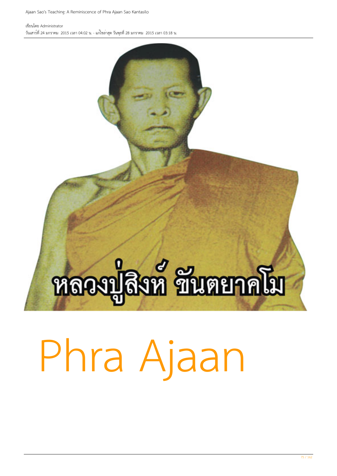### หลวงปลิงท์ ชื่นตยาคโม

#### Phra Ajaan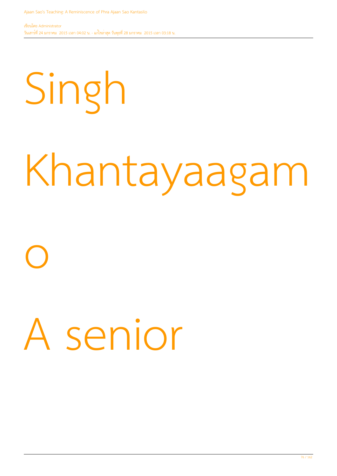### Singh

### Khantayaagam

## o A senior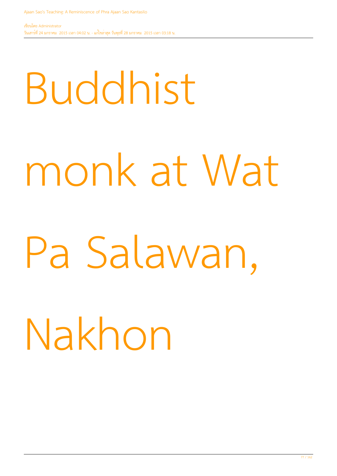# Buddhist monk at Wat Pa Salawan, Nakhon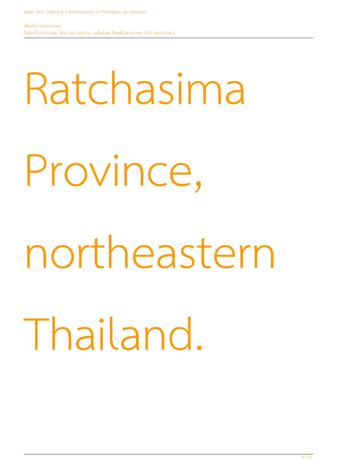#### Ratchasima

Province,

#### northeastern

Thailand.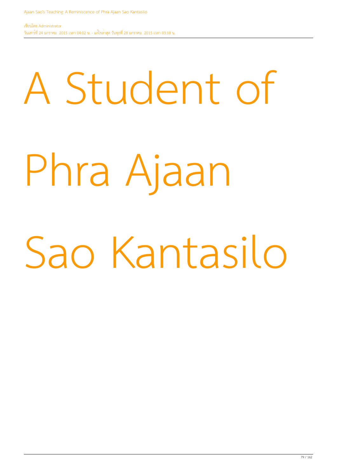## A Student of Phra Ajaan Sao Kantasilo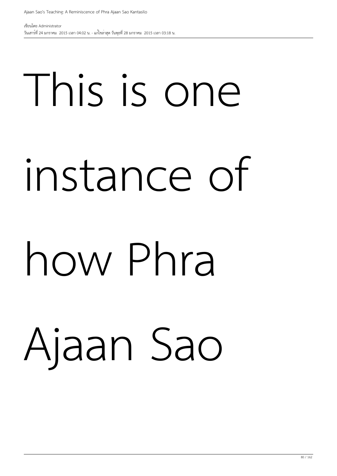# This is one instance of

#### how Phra

#### Ajaan Sao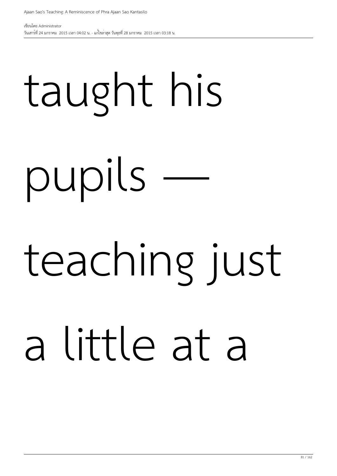## taught his pupils teaching just a little at a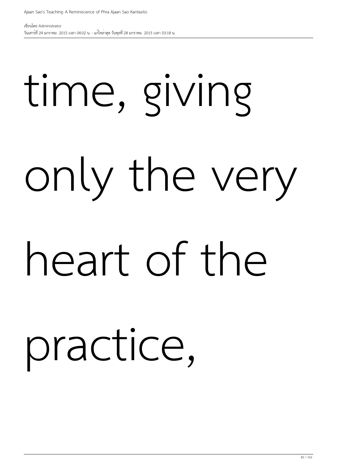# time, giving only the very heart of the practice,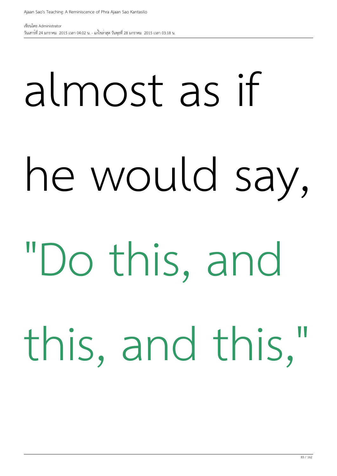# almost as if he would say, "Do this, and this, and this,"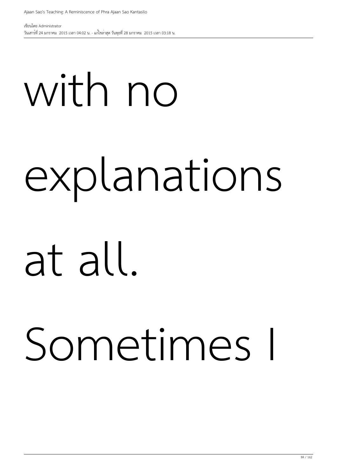### with no explanations

#### at all.

#### Sometimes I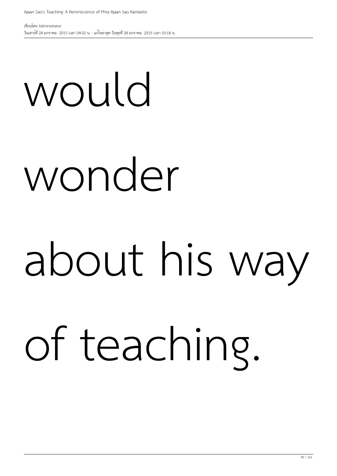### would wonder

#### about his way

### of teaching.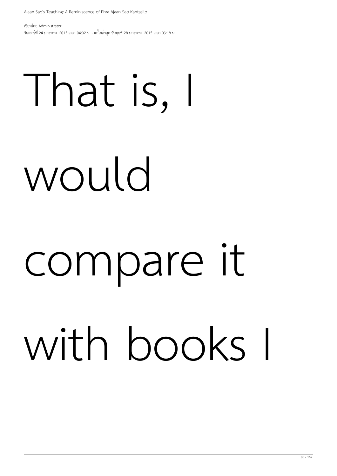## That is, I would

### compare it with books I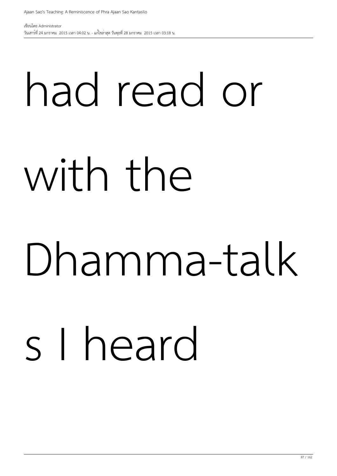### had read or with the

### Dhamma-talk

#### s I heard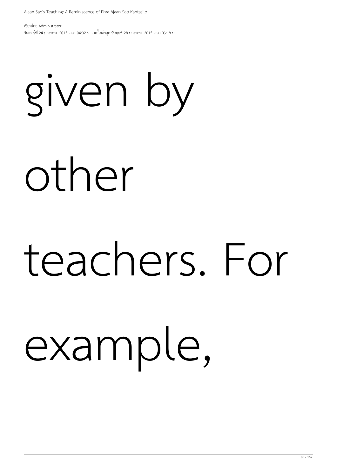### given by other

### teachers. For

#### example,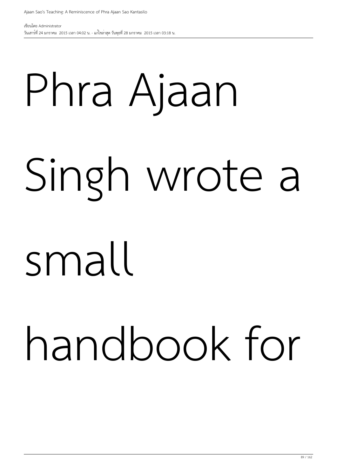### Phra Ajaan Singh wrote a

#### small

### handbook for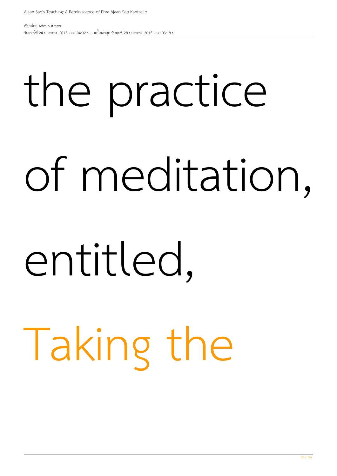### the practice of meditation,

#### entitled,

### Taking the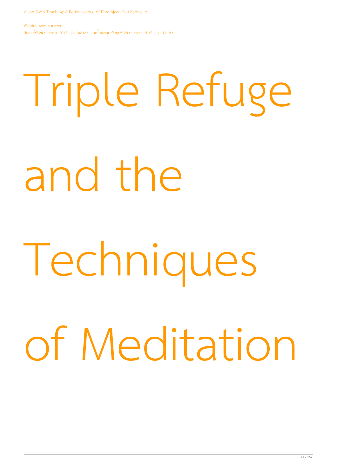# Triple Refuge and the Techniques of Meditation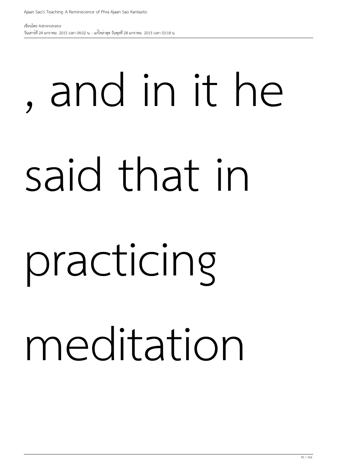## , and in it he said that in practicing

#### meditation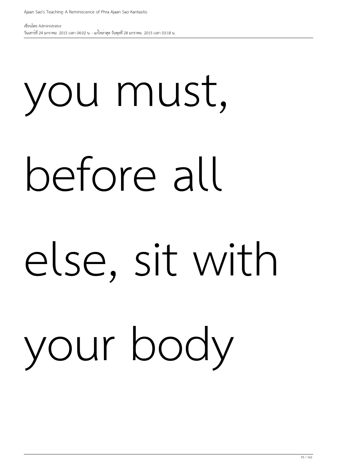# you must, before all else, sit with your body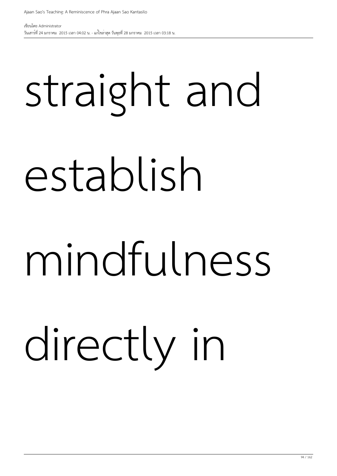## straight and establish

#### mindfulness

directly in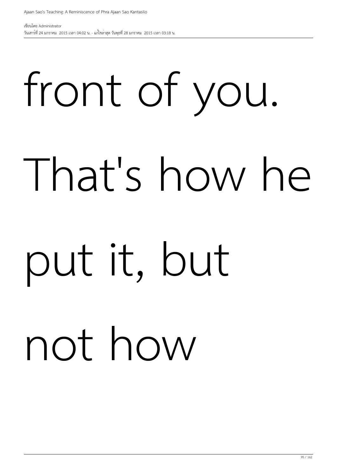# front of you. That's how he put it, but

#### not how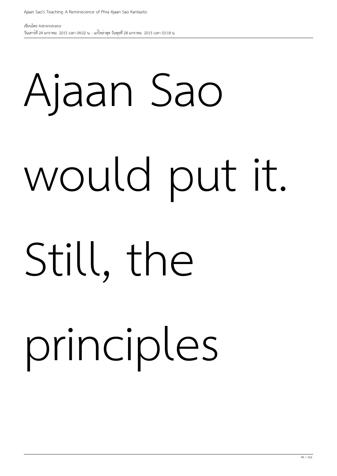# Ajaan Sao would put it. Still, the

#### principles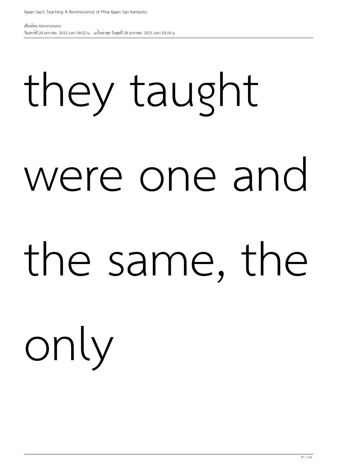# they taught were one and the same, the

only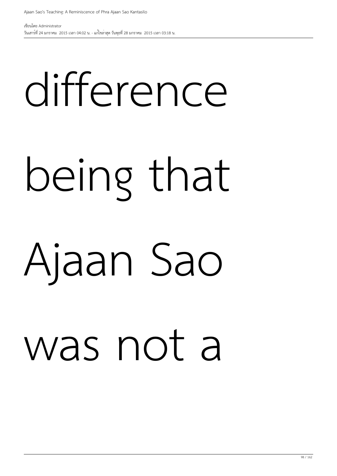# difference being that Ajaan Sao was not a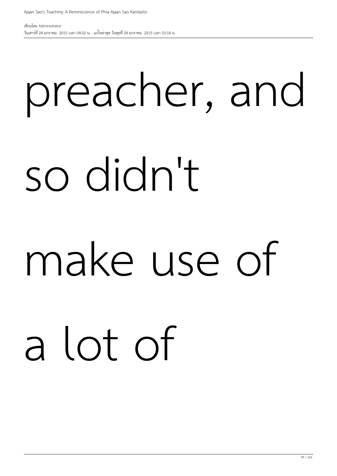### preacher, and so didn't

#### make use of

### a lot of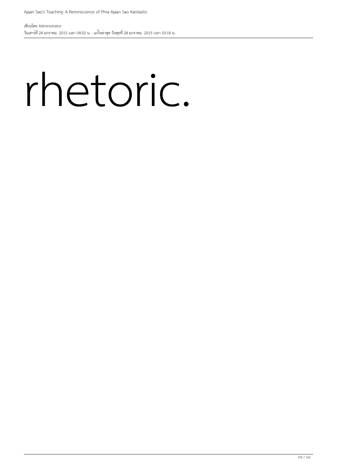#### rhetoric.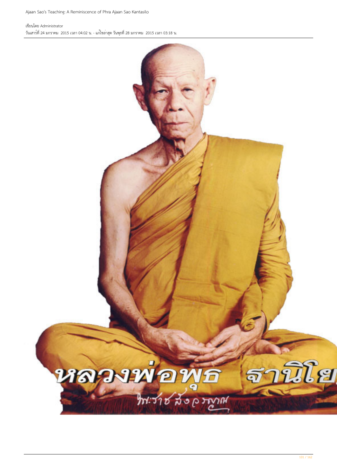เขียนโดย Administrator วันเสาร์ที่ 24 มกราคม 2015 เวลา 04:02 น. - แก้ไขล่าสุด วันพุธที่ 28 มกราคม 2015 เวลา 03:18 น.

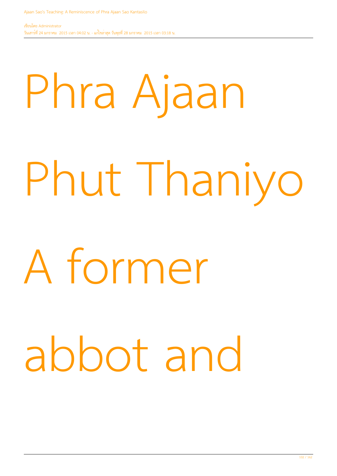# Phra Ajaan Phut Thaniyo A former abbot and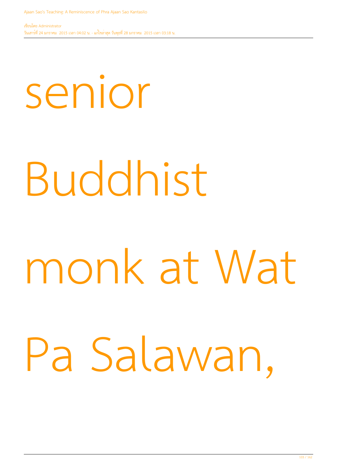# senior Buddhist monk at Wat Pa Salawan,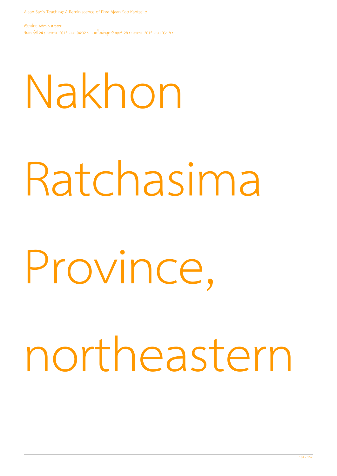# Nakhon Ratchasima Province, northeastern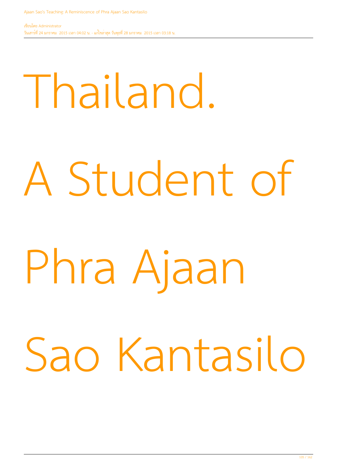# Thailand. A Student of Phra Ajaan Sao Kantasilo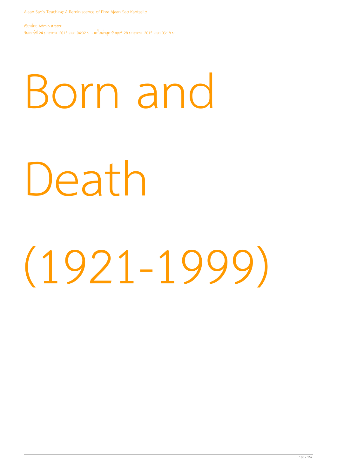### Born and

#### Death

### (1921-1999)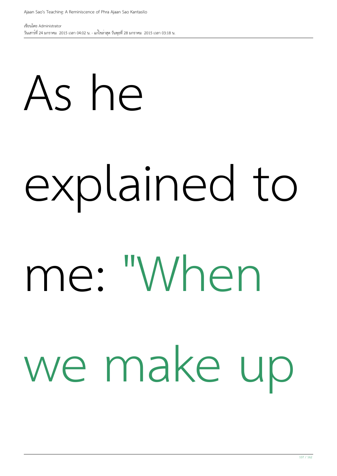# As he explained to me: "When we make up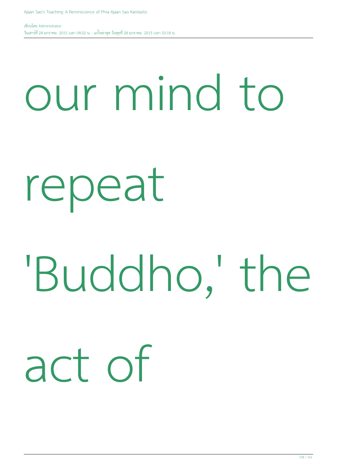### our mind to

#### repeat

### 'Buddho,' the

### act of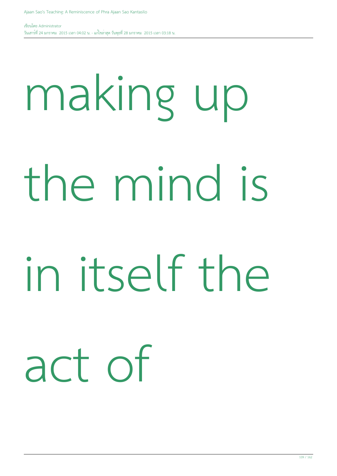### making up the mind is in itself the act of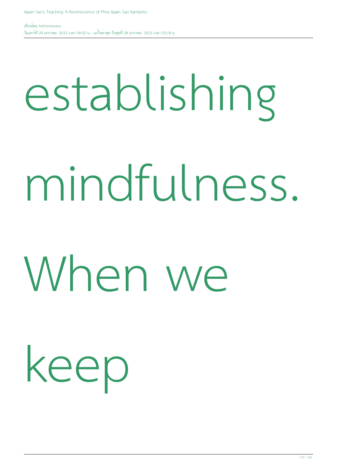### establishing mindfulness. When we

keep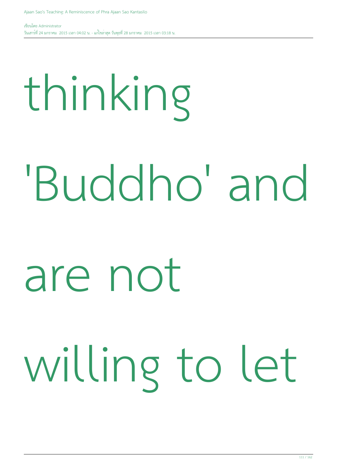# thinking 'Buddho' and are not

#### willing to let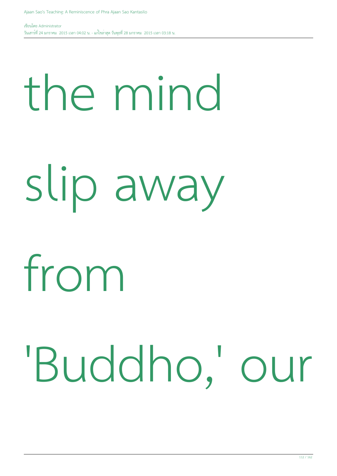## the mind slip away

#### from

#### 'Buddho,' our

112 / 162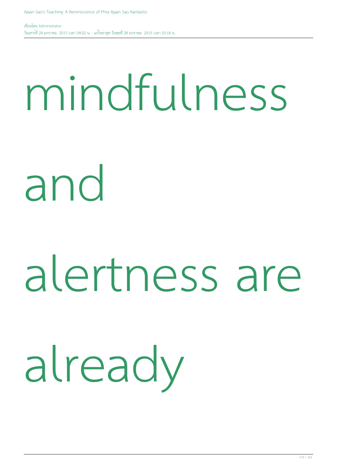#### mindfulness

and

#### alertness are

#### already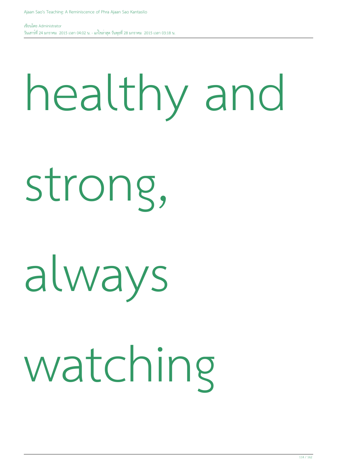#### healthy and

strong,

#### always

#### watching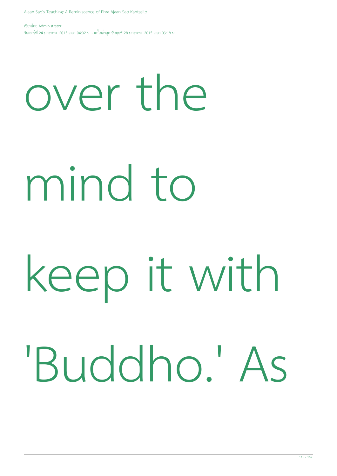### over the mind to keep it with 'Buddho.' As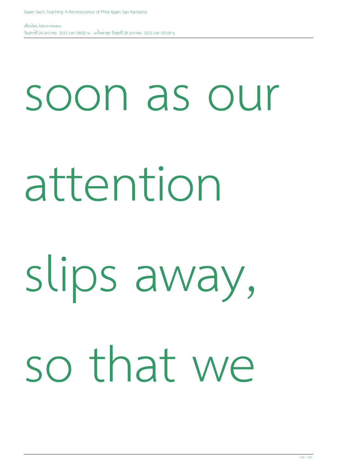### soon as our attention slips away, so that we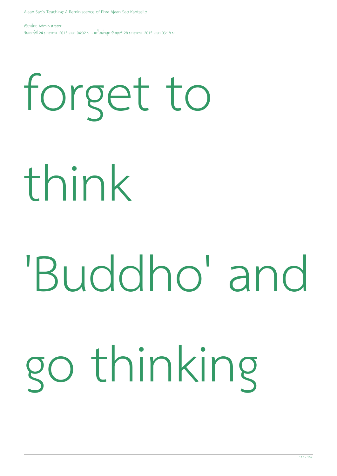### forget to

think

### 'Buddho' and go thinking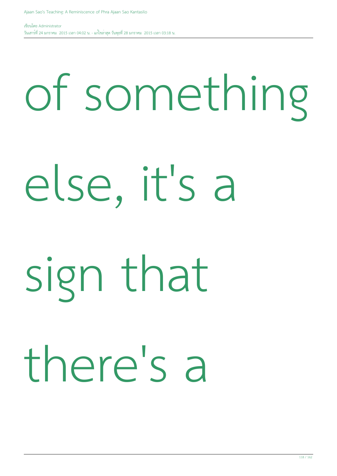### of something else, it's a sign that there's a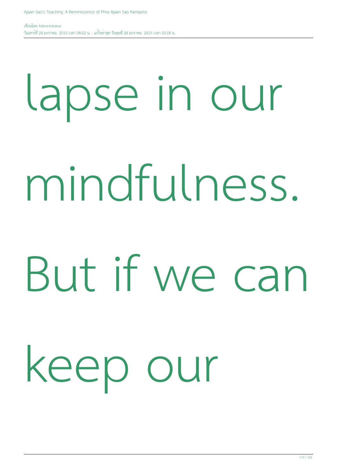### lapse in our mindfulness. But if we can keep our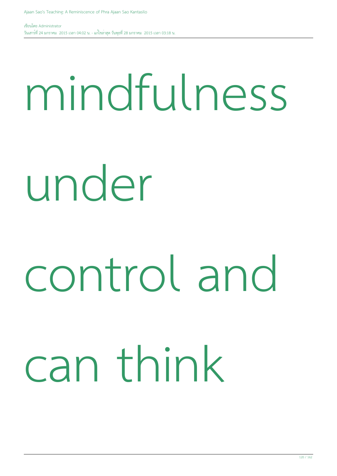#### mindfulness

#### under

### control and

#### can think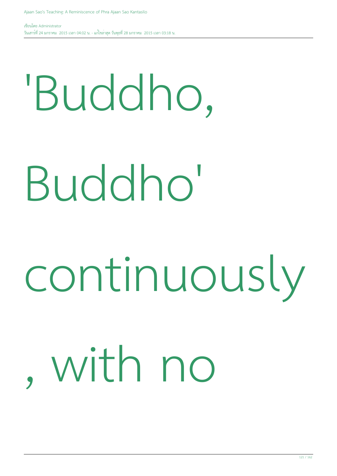### 'Buddho, Buddho' continuously , with no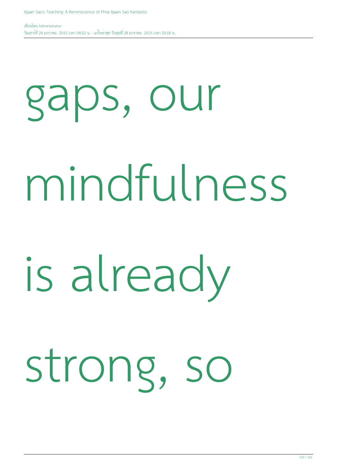## gaps, our mindfulness is already strong, so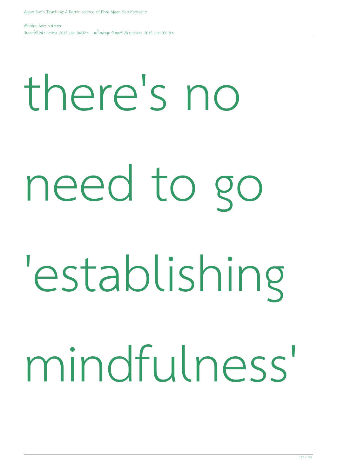### there's no need to go 'establishing mindfulness'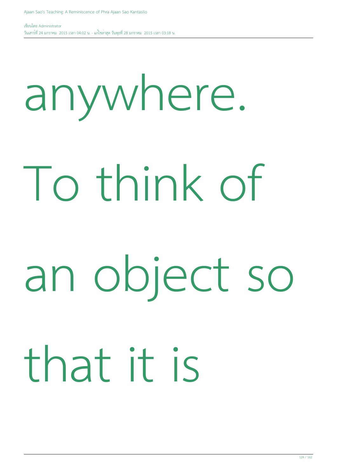### anywhere. To think of an object so that it is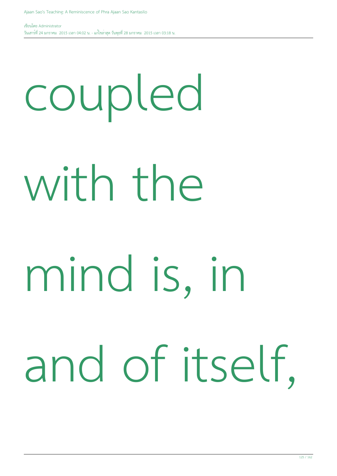### coupled with the mind is, in and of itself,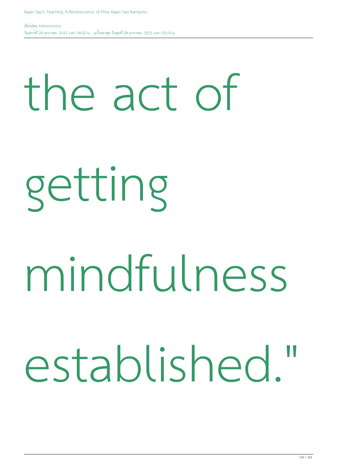#### the act of

getting

#### mindfulness

#### established."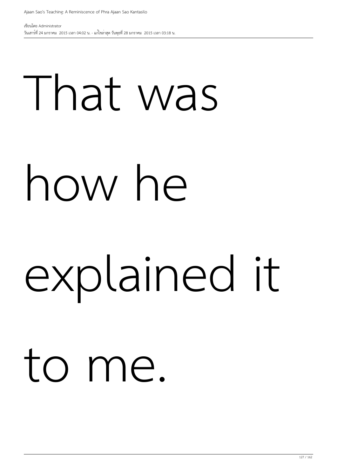### That was how he explained it to me.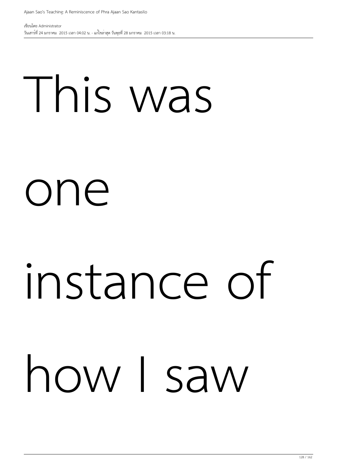#### This was

#### one

### instance of how I saw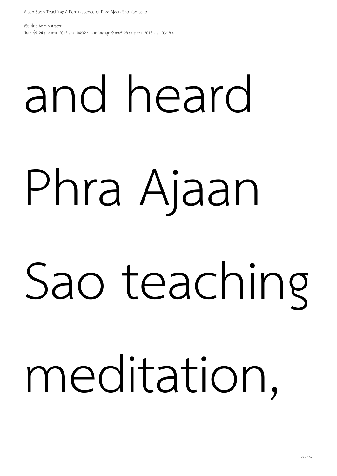## and heard Phra Ajaan Sao teaching meditation,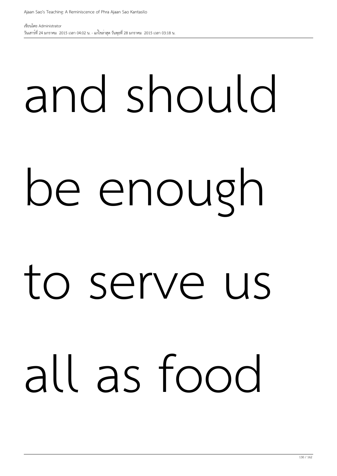## and should be enough to serve us all as food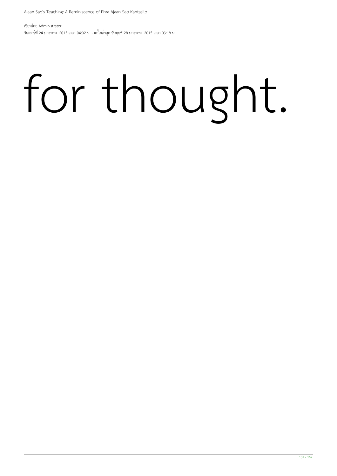#### for thought.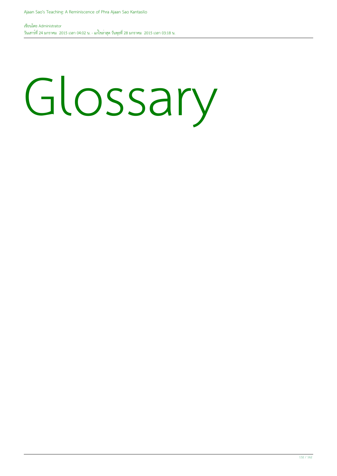#### Glossary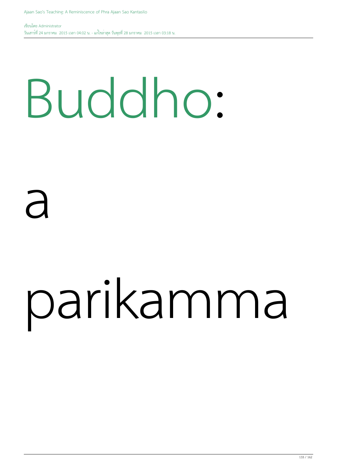#### Buddho:

#### a

### parikamma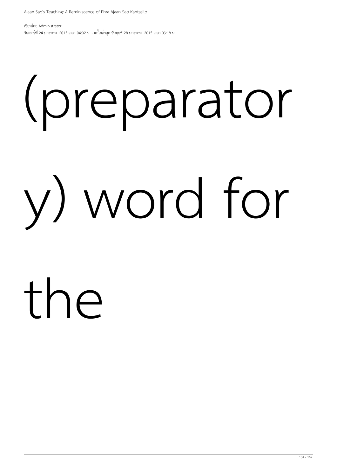### (preparator y) word for the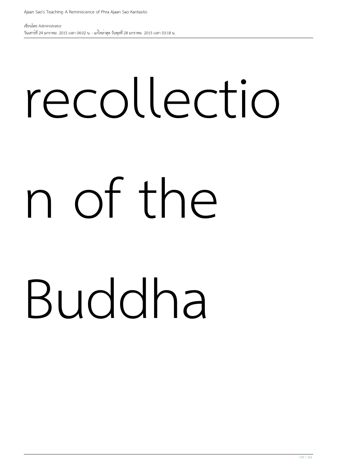# recollectio n of the Buddha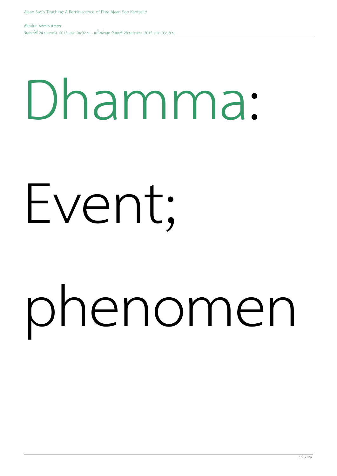#### Dhamma:

#### Event;

### phenomen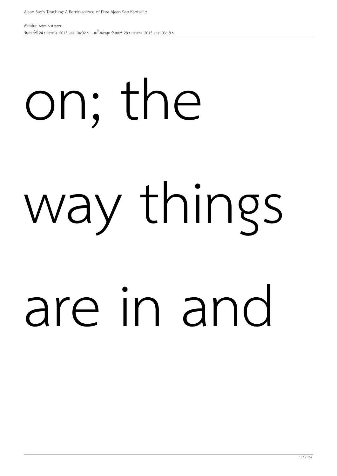# on; the way things are in and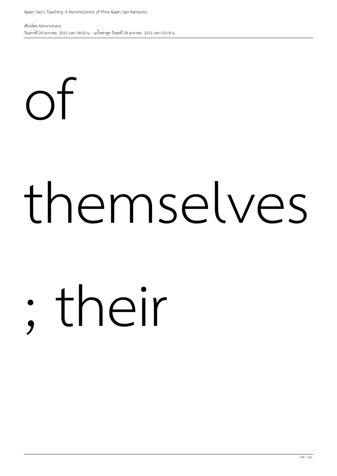of

เขียนโดย Administrator วันเสาร์ที่ 24 มกราคม 2015 เวลา 04:02 น. - แก้ไขล่าสุด วันพุธที่ 28 มกราคม 2015 เวลา 03:18 น.

### themselves

### ; their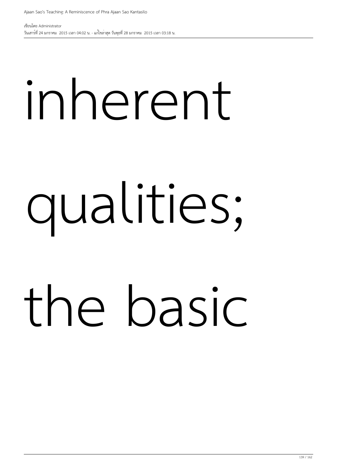# inherent qualities; the basic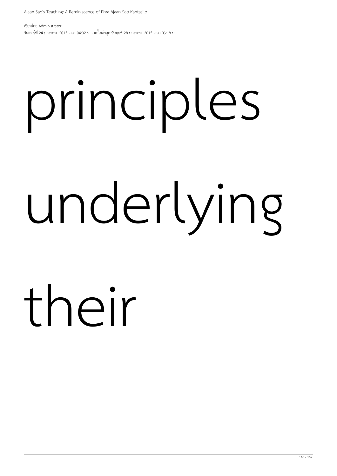## principles underlying their

140 / 162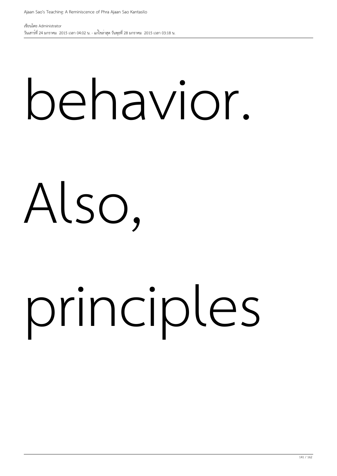#### behavior.

#### Also,

### principles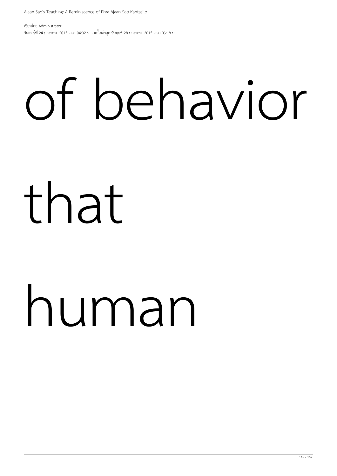### of behavior

#### that

### human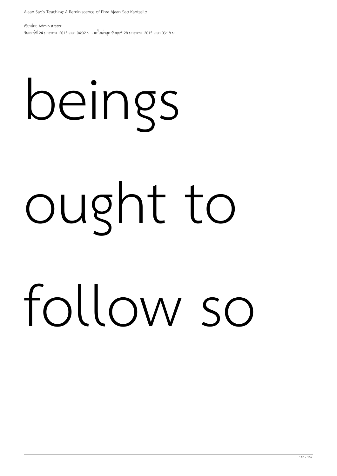# beings ought to follow so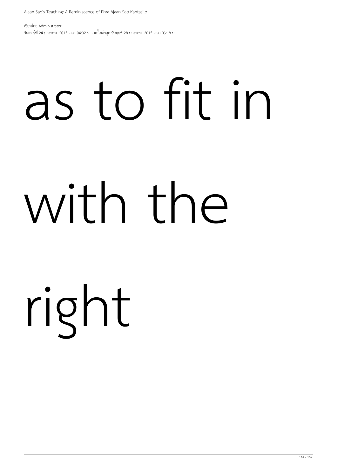# as to fit in with the right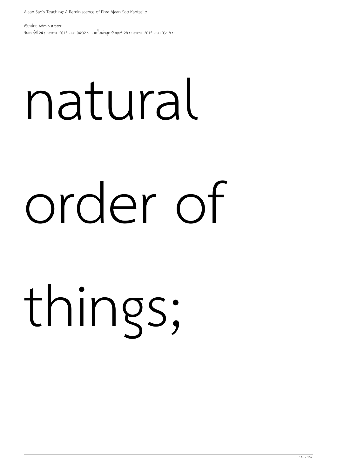## natural order of things;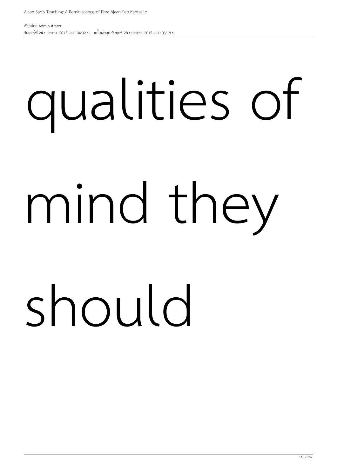## qualities of mind they should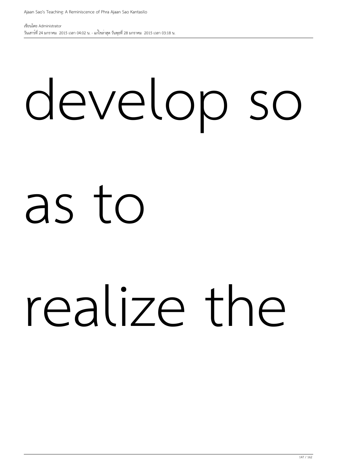#### develop so

#### as to

#### realize the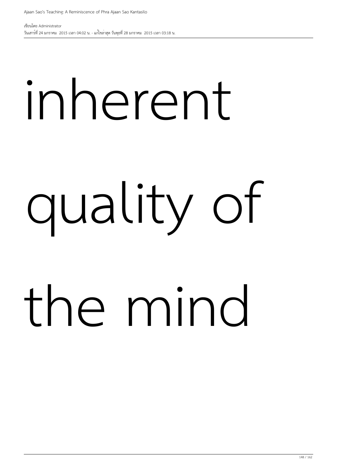### inherent quality of the mind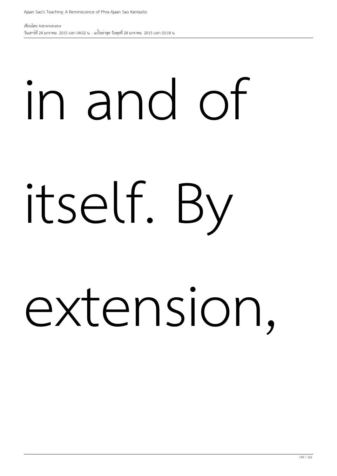### in and of itself. By extension,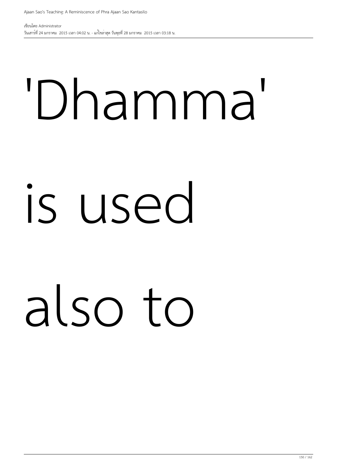## 'Dhamma' is used also to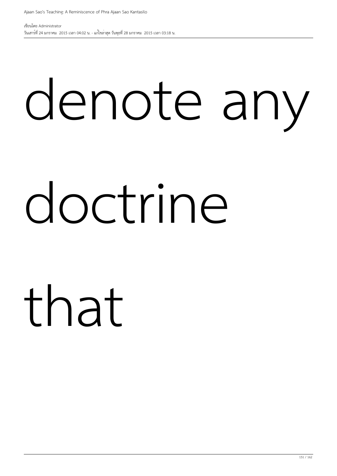# denote any doctrine

that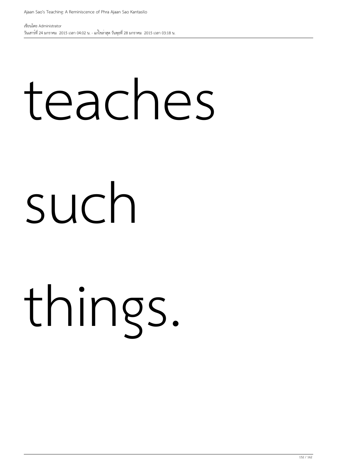#### teaches

#### such

#### things.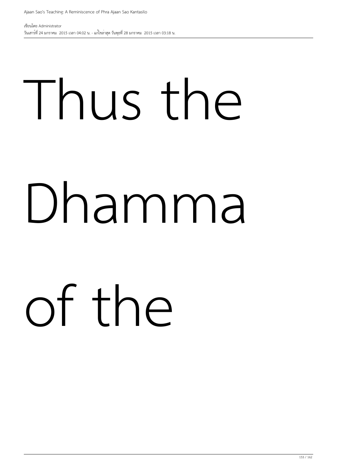### Thus the Dhamma of the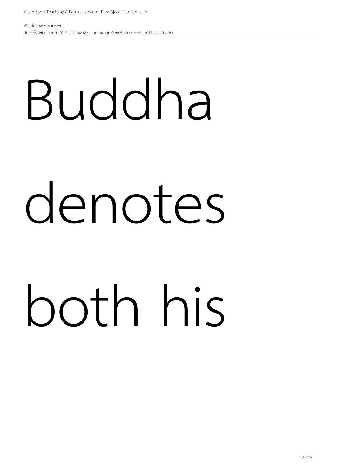### Buddha denotes both his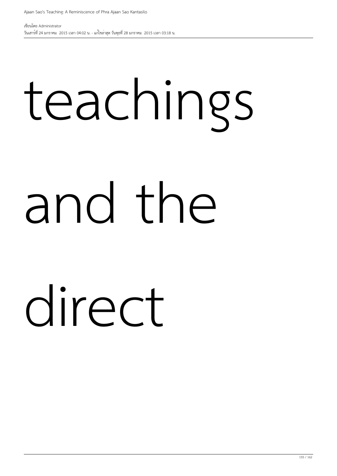#### teachings and the direct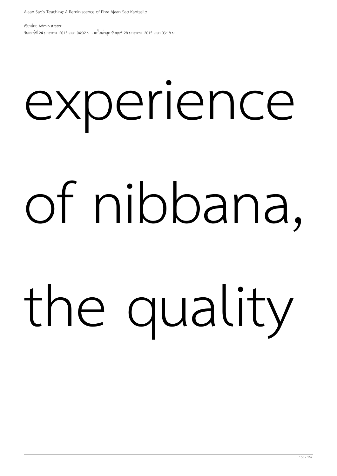## experience of nibbana, the quality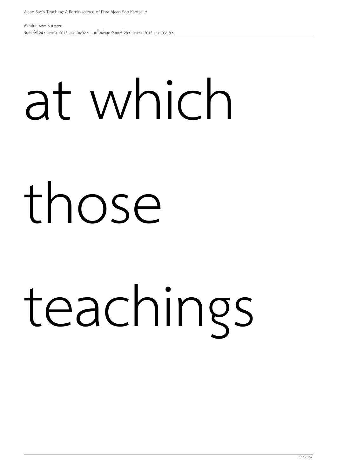## at which those teachings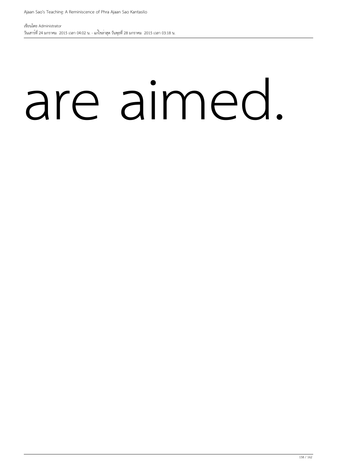#### are aimed.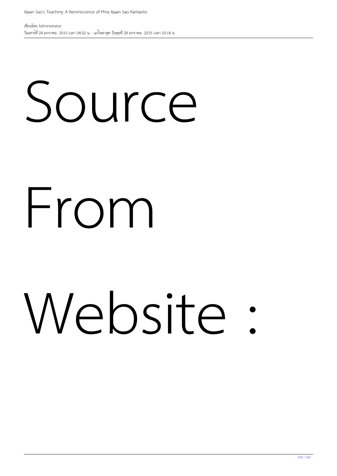## Source From Website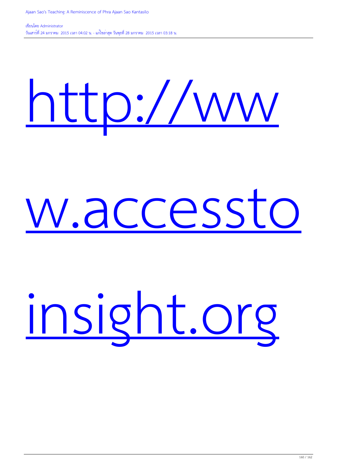#### [http://ww](http://www.accesstoinsight.org)

#### [w.accessto](http://www.accesstoinsight.org)

#### [insight.org](http://www.accesstoinsight.org)